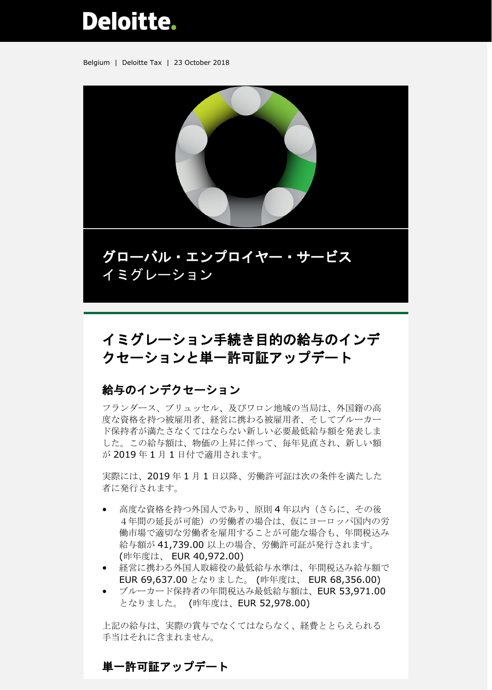# Deloitte.

Belgium | Deloitte Tax | 23 October 2018



グローバル・エンプロイヤー・サービス イミグレーション

# イミグレーション手続き目的の給与のインデ クセーションと単一許可証アップデート

# 給与のインデクセーション

フランダース、ブリュッセル、及びワロン地域の当局は、外国籍の高 度な資格を持つ被雇用者、経営に携わる被雇用者、そしてブルーカー ド保持者が満たさなくてはならない新しい必要最低給与額を発表しま した。この給与額は、物価の上昇に伴って、毎年見直され、新しい額 が 2019 年 1 月 1 日付で適用されます。

実際には、2019 年 1 月 1 日以降、労働許可証は次の条件を満たした 者に発行されます。

- 高度な資格を持つ外国人であり、原則4年以内(さらに、その後 4年間の延長が可能)の労働者の場合は、仮にヨーロッパ国内の労 働市場で適切な労働者を雇用することが可能な場合も、年間税込み 給与額が 41,739.00 以上の場合、労働許可証が発行されます。 (昨年度は、 EUR 40,972.00)
- 経営に携わる外国人取締役の最低給与水準は、年間税込み給与額で EUR 69,637.00 となりました。 (昨年度は、 EUR 68,356.00)
- ブルーカード保持者の年間税込み最低給与額は、EUR 53,971.00 となりました。 (昨年度は、EUR 52,978.00)

上記の給与は、実際の賞与でなくてはならなく、経費ととらえられる 手当はそれに含まれません。

## 単一許可証アップデート